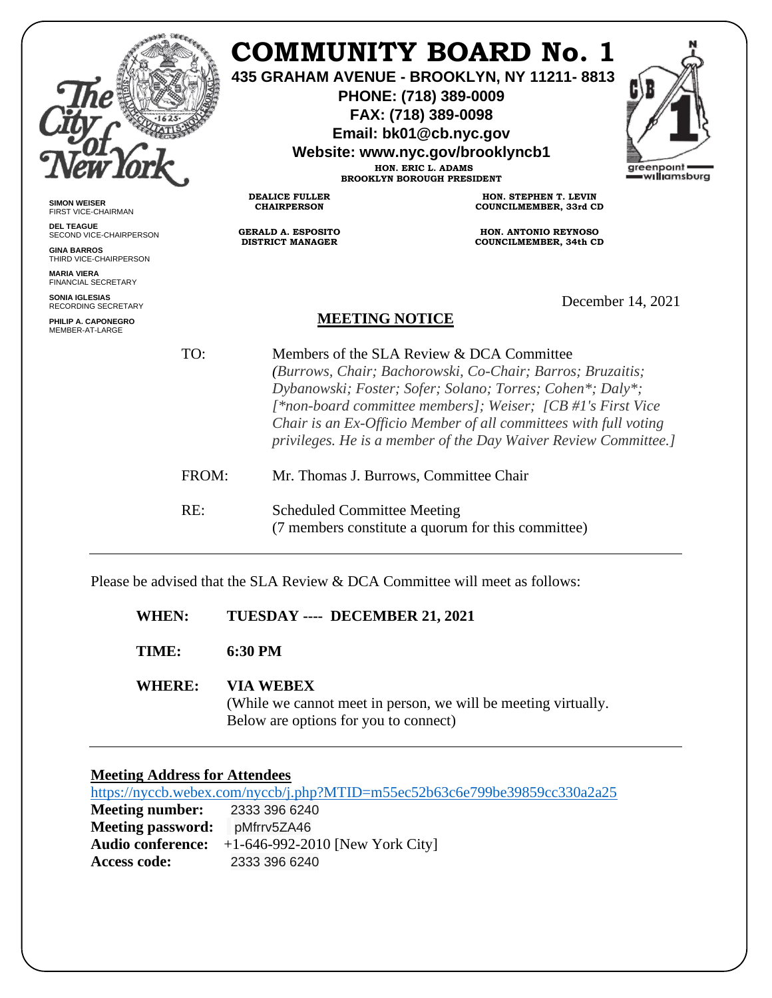|                                                     |       | <b>COMMUNITY BOARD No. 1</b><br>435 GRAHAM AVENUE - BROOKLYN, NY 11211-8813<br>PHONE: (718) 389-0009<br>FAX: (718) 389-0098<br>Email: bk01@cb.nyc.gov<br>Website: www.nyc.gov/brooklyncb1<br>HON. ERIC L. ADAMS<br>greenpoint<br>=w <b>ıllı</b> amsburg<br><b>BROOKLYN BOROUGH PRESIDENT</b> |                                                                                                                                                                                                                                                                                                                                                                           |                   |  |
|-----------------------------------------------------|-------|----------------------------------------------------------------------------------------------------------------------------------------------------------------------------------------------------------------------------------------------------------------------------------------------|---------------------------------------------------------------------------------------------------------------------------------------------------------------------------------------------------------------------------------------------------------------------------------------------------------------------------------------------------------------------------|-------------------|--|
| <b>SIMON WEISER</b><br>FIRST VICE-CHAIRMAN          |       | <b>DEALICE FULLER</b><br><b>CHAIRPERSON</b>                                                                                                                                                                                                                                                  | HON. STEPHEN T. LEVIN<br>COUNCILMEMBER, 33rd CD                                                                                                                                                                                                                                                                                                                           |                   |  |
| <b>DEL TEAGUE</b><br>SECOND VICE-CHAIRPERSON        |       | <b>GERALD A. ESPOSITO</b><br><b>DISTRICT MANAGER</b>                                                                                                                                                                                                                                         | <b>HON. ANTONIO REYNOSO</b><br>COUNCILMEMBER, 34th CD                                                                                                                                                                                                                                                                                                                     |                   |  |
| <b>GINA BARROS</b><br>THIRD VICE-CHAIRPERSON        |       |                                                                                                                                                                                                                                                                                              |                                                                                                                                                                                                                                                                                                                                                                           |                   |  |
| <b>MARIA VIERA</b><br><b>FINANCIAL SECRETARY</b>    |       |                                                                                                                                                                                                                                                                                              |                                                                                                                                                                                                                                                                                                                                                                           |                   |  |
| <b>SONIA IGLESIAS</b><br><b>RECORDING SECRETARY</b> |       |                                                                                                                                                                                                                                                                                              |                                                                                                                                                                                                                                                                                                                                                                           | December 14, 2021 |  |
| PHILIP A. CAPONEGRO<br>MEMBER-AT-LARGE              |       | <b>MEETING NOTICE</b>                                                                                                                                                                                                                                                                        |                                                                                                                                                                                                                                                                                                                                                                           |                   |  |
|                                                     | TO:   |                                                                                                                                                                                                                                                                                              | Members of the SLA Review & DCA Committee<br>(Burrows, Chair; Bachorowski, Co-Chair; Barros; Bruzaitis;<br>Dybanowski; Foster; Sofer; Solano; Torres; Cohen*; Daly*;<br>[*non-board committee members]; Weiser; [CB #1's First Vice<br>Chair is an Ex-Officio Member of all committees with full voting<br>privileges. He is a member of the Day Waiver Review Committee. |                   |  |
|                                                     | FROM: | Mr. Thomas J. Burrows, Committee Chair                                                                                                                                                                                                                                                       |                                                                                                                                                                                                                                                                                                                                                                           |                   |  |
|                                                     | RE:   | <b>Scheduled Committee Meeting</b>                                                                                                                                                                                                                                                           | (7 members constitute a quorum for this committee)                                                                                                                                                                                                                                                                                                                        |                   |  |

Please be advised that the SLA Review & DCA Committee will meet as follows:

| <b>WHEN:</b> | TUESDAY ---- DECEMBER 21, 2021 |
|--------------|--------------------------------|
|--------------|--------------------------------|

**TIME: 6:30 PM**

# **WHERE: VIA WEBEX**

(While we cannot meet in person, we will be meeting virtually. Below are options for you to connect)

## **Meeting Address for Attendees**

<https://nyccb.webex.com/nyccb/j.php?MTID=m55ec52b63c6e799be39859cc330a2a25> **Meeting number:** 2333 396 6240 **Meeting password:** pMfrrv5ZA46 **Audio conference:** +1-646-992-2010 [New York City] **Access code:** 2333 396 6240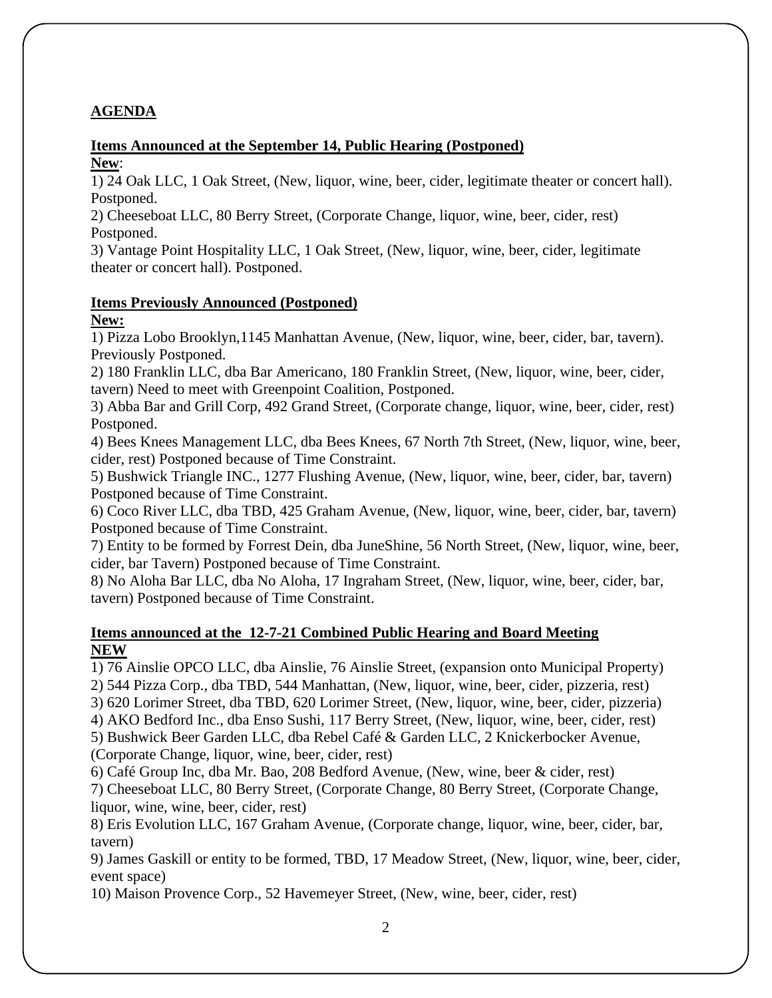# **AGENDA**

# **Items Announced at the September 14, Public Hearing (Postponed)**

**New**:

1) 24 Oak LLC, 1 Oak Street, (New, liquor, wine, beer, cider, legitimate theater or concert hall). Postponed.

2) Cheeseboat LLC, 80 Berry Street, (Corporate Change, liquor, wine, beer, cider, rest) Postponed.

3) Vantage Point Hospitality LLC, 1 Oak Street, (New, liquor, wine, beer, cider, legitimate theater or concert hall). Postponed.

#### **Items Previously Announced (Postponed) New:**

1) Pizza Lobo Brooklyn,1145 Manhattan Avenue, (New, liquor, wine, beer, cider, bar, tavern). Previously Postponed.

2) 180 Franklin LLC, dba Bar Americano, 180 Franklin Street, (New, liquor, wine, beer, cider, tavern) Need to meet with Greenpoint Coalition, Postponed.

3) Abba Bar and Grill Corp, 492 Grand Street, (Corporate change, liquor, wine, beer, cider, rest) Postponed.

4) Bees Knees Management LLC, dba Bees Knees, 67 North 7th Street, (New, liquor, wine, beer, cider, rest) Postponed because of Time Constraint.

5) Bushwick Triangle INC., 1277 Flushing Avenue, (New, liquor, wine, beer, cider, bar, tavern) Postponed because of Time Constraint.

6) Coco River LLC, dba TBD, 425 Graham Avenue, (New, liquor, wine, beer, cider, bar, tavern) Postponed because of Time Constraint.

7) Entity to be formed by Forrest Dein, dba JuneShine, 56 North Street, (New, liquor, wine, beer, cider, bar Tavern) Postponed because of Time Constraint.

8) No Aloha Bar LLC, dba No Aloha, 17 Ingraham Street, (New, liquor, wine, beer, cider, bar, tavern) Postponed because of Time Constraint.

### **Items announced at the 12-7-21 Combined Public Hearing and Board Meeting NEW**

1) 76 Ainslie OPCO LLC, dba Ainslie, 76 Ainslie Street, (expansion onto Municipal Property)

2) 544 Pizza Corp., dba TBD, 544 Manhattan, (New, liquor, wine, beer, cider, pizzeria, rest)

3) 620 Lorimer Street, dba TBD, 620 Lorimer Street, (New, liquor, wine, beer, cider, pizzeria)

4) AKO Bedford Inc., dba Enso Sushi, 117 Berry Street, (New, liquor, wine, beer, cider, rest)

5) Bushwick Beer Garden LLC, dba Rebel Café & Garden LLC, 2 Knickerbocker Avenue,

(Corporate Change, liquor, wine, beer, cider, rest)

6) Café Group Inc, dba Mr. Bao, 208 Bedford Avenue, (New, wine, beer & cider, rest)

7) Cheeseboat LLC, 80 Berry Street, (Corporate Change, 80 Berry Street, (Corporate Change, liquor, wine, wine, beer, cider, rest)

8) Eris Evolution LLC, 167 Graham Avenue, (Corporate change, liquor, wine, beer, cider, bar, tavern)

9) James Gaskill or entity to be formed, TBD, 17 Meadow Street, (New, liquor, wine, beer, cider, event space)

10) Maison Provence Corp., 52 Havemeyer Street, (New, wine, beer, cider, rest)